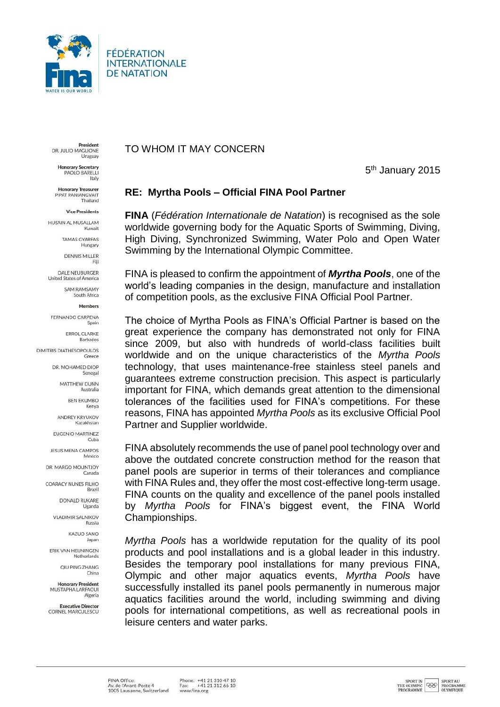

FÉDÉRATION **INTERNATIONALE DE NATATION** 

President DR. JULIO MAGLIONE Uruguay

**Honorary Secretary** PAOLO BARELLI Italy

**Honorary Treasurer** PIPAT PANIANGVAIT Thailand

**Vice Presidents** 

HUSAIN AL MUSALLAM Kuwait

> TAMAS GYARFAS Hungary

DENNIS MILLER

DALE NEURURGER United States of America

> SAM RAMSAMY South Africa

> > Members

FERNANDO CARPENA

**ERROL CLARKE** 

DIMITRIS DIATHESOPOLILOS Greece

> DR. MOHAMED DIOP Senegal

> > MATTHEW DUNN Australia

> > > **BEN EKUMBO** Kenya

ANDREY KRYUKOV

Kazakhstan EUGENIO MARTINEZ

Cuba

JESUS MENA CAMPOS Mexico

DR. MARGO MOUNTIOY Canada

COARACY NUNES FILHO Brazil

> DONALD RUKARE Uganda

**VLADIMIR SALNIKOV** Russia

> KAZUO SANO Japan

ERIK VAN HEIJNINGEN Netherlands

> QIU PING ZHANG China

**Honorary President** MUSTAPHA LARFAOUI Algeria

**Executive Director** CORNEL MARCULESCU TO WHOM IT MAY CONCERN

5<sup>th</sup> January 2015

## RE: Myrtha Pools - Official FINA Pool Partner

FINA (Fédération Internationale de Natation) is recognised as the sole worldwide governing body for the Aquatic Sports of Swimming, Diving, High Diving, Synchronized Swimming, Water Polo and Open Water Swimming by the International Olympic Committee.

FINA is pleased to confirm the appointment of *Myrtha Pools*, one of the world's leading companies in the design, manufacture and installation of competition pools, as the exclusive FINA Official Pool Partner.

The choice of Myrtha Pools as FINA's Official Partner is based on the great experience the company has demonstrated not only for FINA since 2009, but also with hundreds of world-class facilities built worldwide and on the unique characteristics of the Myrtha Pools technology, that uses maintenance-free stainless steel panels and quarantees extreme construction precision. This aspect is particularly important for FINA, which demands great attention to the dimensional tolerances of the facilities used for FINA's competitions. For these reasons, FINA has appointed Myrtha Pools as its exclusive Official Pool Partner and Supplier worldwide.

FINA absolutely recommends the use of panel pool technology over and above the outdated concrete construction method for the reason that panel pools are superior in terms of their tolerances and compliance with FINA Rules and, they offer the most cost-effective long-term usage. FINA counts on the quality and excellence of the panel pools installed by Myrtha Pools for FINA's biggest event, the FINA World Championships.

Myrtha Pools has a worldwide reputation for the quality of its pool products and pool installations and is a global leader in this industry. Besides the temporary pool installations for many previous FINA, Olympic and other major aquatics events, Myrtha Pools have successfully installed its panel pools permanently in numerous major aquatics facilities around the world, including swimming and diving pools for international competitions, as well as recreational pools in leisure centers and water parks.